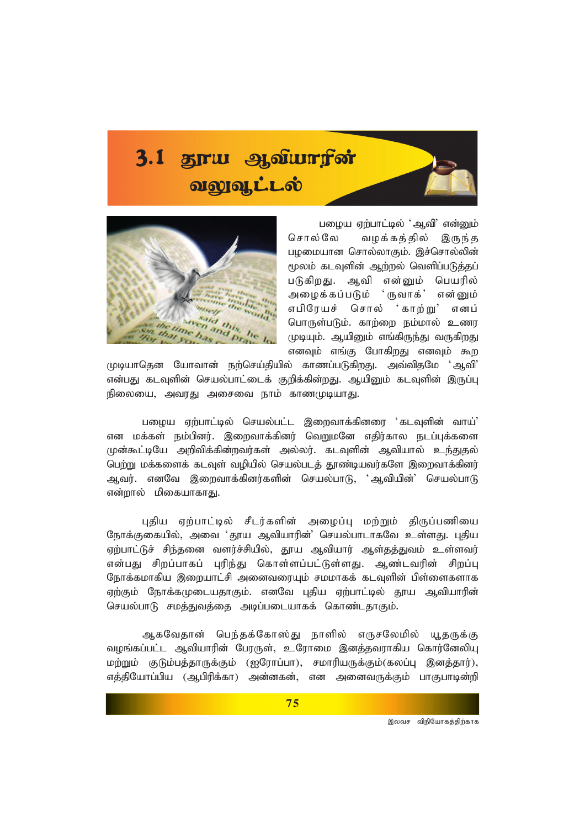# 3.1 தூய ஆவியாரின் ologique



பழைய ஏற்பாட்டில் 'ஆவி' என்னும் சொல்லே வழக்கத்தில் இருந்த பழமையான சொல்லாகும். இச்சொல்லின் மூலம் கடவுளின் ஆற்றல் வெளிப்படுத்தப் படுகிறது. ஆவி என்னும் பெயரில் அழைக்கப்படும் ் ருவாக்' என்னும் சொல் 'காற்று' எபிரேயச் எனப் பொருள்படும். காற்றை நம்மால் உணர முடியும். ஆயினும் எங்கிருந்து வருகிறது எனவும் எங்கு போகிறது எனவும் கூற

முடியாதென யோவான் நற்செய்தியில் காணப்படுகிறது. அவ்விதமே 'ஆவி' என்பது கடவுளின் செயல்பாட்டைக் குறிக்கின்றது. ஆயினும் கடவுளின் இருப்பு நிலையை, அவரது அசைவை நாம் காணமுடியாது.

பழைய ஏற்பாட்டில் செயல்பட்ட இறைவாக்கினரை 'கடவுளின் வாய்' என மக்கள் நம்பினர். இறைவாக்கினர் வெறுமனே எதிர்கால நடப்புக்களை முன்கூட்டியே அறிவிக்கின்றவர்கள் அல்லர். கடவளின் ஆவியால் உந்துகல் பெற்று மக்களைக் கடவுள் வழியில் செயல்படத் தூண்டியவர்களே இறைவாக்கினர் ஆவர். எனவே இறைவாக்கினர்களின் செயல்பாடு, 'ஆவியின்' செயல்பாடு என்றால் மிகையாகாது.

புதிய ஏற்பாட்டில் சீடர்களின் அழைப்பு மற்றும் திருப்பணியை நோக்குகையில், அவை 'தூய ஆவியாரின்' செயல்பாடாகவே உள்ளது. புதிய ஏற்பாட்டுச் சிந்தனை வளர்ச்சியில், தூய ஆவியார் ஆள்தத்துவம் உள்ளவர் என்பது சிறப்பாகப் புரிந்து கொள்ளப்பட்டுள்ளது. ஆண்டவரின் சிறப்பு நோக்கமாகிய இறையாட்சி அனைவரையும் சமமாகக் கடவுளின் பிள்ளைகளாக ஏற்கும் நோக்கமுடையதாகும். எனவே புதிய ஏற்பாட்டில் தூய ஆவியாரின் செயல்பாடு சமத்துவத்தை அடிப்படையாகக் கொண்டதாகும்.

ஆகவேதான் பெந்தக்கோஸ்து நாளில் எருசலேமில் யூதருக்கு வழங்கப்பட்ட ஆவியாரின் பேரருள், உரோமை இனத்தவராகிய கொர்னேலியு மற்றும் குடும்பத்தாருக்கும் (ஐரோப்பா), சமாரியருக்கும்(கலப்பு இனத்தார்), எத்தியோப்பிய (ஆபிரிக்கா) அன்னகன், என அனைவருக்கும் பாகுபாடின்றி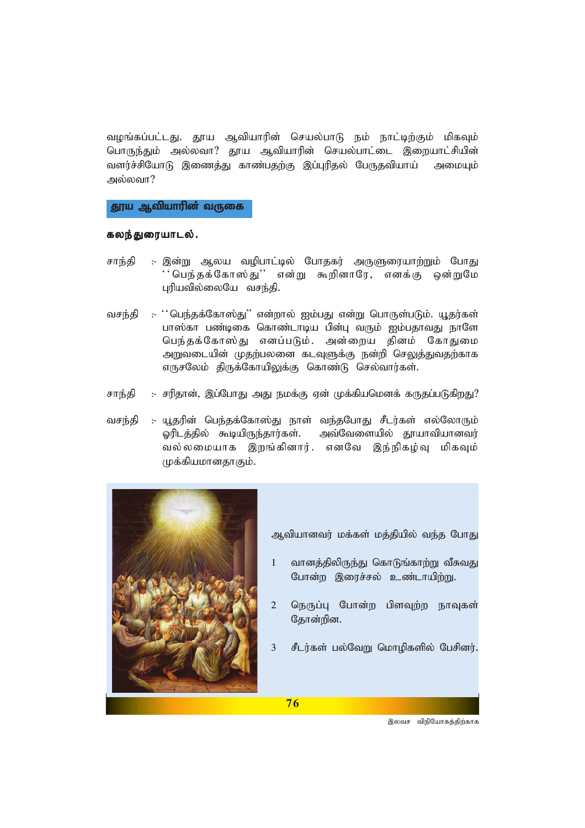வழங்கப்பட்டது. தூய ஆவியாரின் செயல்பாடு நம் நாட்டிற்கும் மிகவும் பொருந்தும் அல்லவா? தூய ஆவியாரின் செயல்பாட்டை இறையாட்சியின் வளர்ச்சியோடு இணைத்து காண்பதற்கு இப்புரிதல் பேருதவியாய் அமையும் அல்லவா?

தூய ஆவியாரின் வருகை

#### கலந்துரையாடல்.

- சாந்தி :- இன்று ஆலய வழிபாட்டில் போதகர் அருளுரையாற்றும் போது ''பெந்தக்கோஸ்து'' என்று கூறினாரே, எனக்கு ஒன்றுமே புரியவில்லையே வசந்தி.
- :- ''பெந்தக்கோஸ்து'' என்றால் ஐம்பது என்று பொருள்படும். யூதர்கள் வசந்தி பாஸ்கா பண்டிகை கொண்டாடிய பின்பு வரும் ஐம்பதாவது நாளே பெந்தக்கோஸ்து எனப்படும். அன்றைய தினம் கோதுமை அறுவடையின் முதற்பலனை கடவுளுக்கு நன்றி செலுத்துவதற்காக எருசலேம் திருக்கோயிலுக்கு கொண்டு செல்வார்கள்.
- சாந்தி :- சரிதான், இப்போது அது நமக்கு ஏன் முக்கியமெனக் கருதப்படுகிறது?
- :- யூதரின் பெந்தக்கோஸ்து நாள் வந்தபோது சீடர்கள் எல்லோரும் வசந்தி ஓரிடத்தில் கூடியிருந்தார்கள். அவ்வேளையில் தூயாவியானவர் வல்லமையாக இறங்கினார். எனவே இந்நிகழ்வு மிகவும் முக்கியமானதாகும்.



ஆவியானவர் மக்கள் மத்தியில் வந்த போது

- வானத்திலிருந்து கொடுங்காற்று வீசுவது  $1 -$ போன்ற இரைச்சல் உண்டாயிற்று.
- $\overline{2}$ நெருப்பு போன்ற பிளவுற்ற நாவுகள் தோன்றின.
- $\overline{3}$ சீடர்கள் பல்வேறு மொழிகளில் பேசினர்.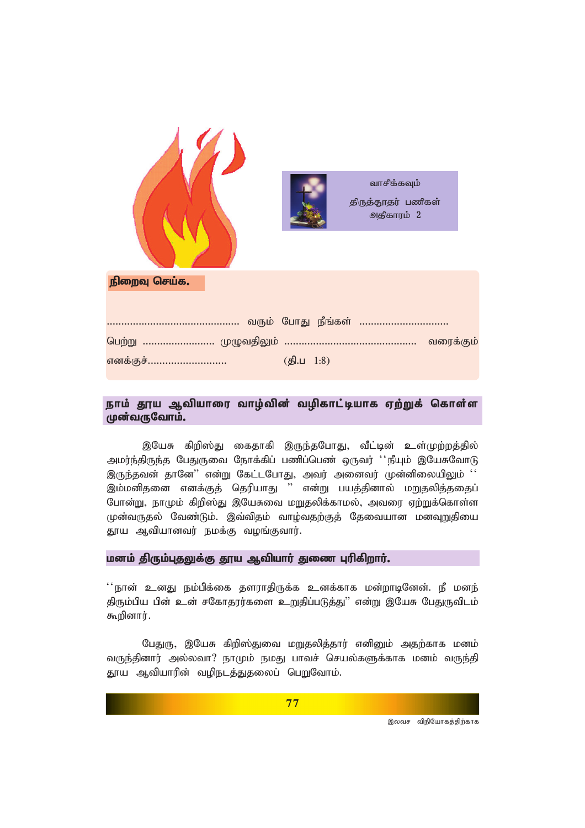|               |          | வாசிக்கவும்<br>திருத்தூதர் பணிகள்<br>அதிகாரம் 2 |  |
|---------------|----------|-------------------------------------------------|--|
| நிறைவு செய்க. |          |                                                 |  |
|               |          |                                                 |  |
|               |          |                                                 |  |
| .<br>எனக்குச் | (5.11.8) |                                                 |  |

### நாம் தூய ஆவியாரை வாழ்வின் வழிகாட்டியாக ஏற்றுக் கொள்ள முன்வருவோம்.

இயேசு கிறிஸ்து கைதாகி இருந்தபோது, வீட்டின் உள்முற்றத்தில் அமர்ந்திருந்த பேதுருவை நோக்கிப் பணிப்பெண் ஒருவர் ''நீயும் இயேசுவோடு இருந்தவன் தானே" என்று கேட்டபோது, அவர் அனைவர் முன்னிலையிலும் '' இம்மனிதனை எனக்குத் தெரியாது '' என்று பயத்தினால் மறுதலித்ததைப் போன்று, நாமும் கிறிஸ்து இயேசுவை மறுதலிக்காமல், அவரை ஏற்றுக்கொள்ள முன்வருதல் வேண்டும். இவ்விதம் வாழ்வதற்குத் தேவையான மனவுறுதியை தூய ஆவியானவர் நமக்கு வழங்குவார்.

#### மனம் திரும்புதலுக்கு தூய ஆவியார் துணை புரிகிறார்.

'' நான் உனகு நம்பிக்கை களாாகிருக்க உனக்காக மன்றாடினேன். நீ மனந் திரும்பிய பின் உன் சகோதரர்களை உறுதிப்படுத்து" என்று இயேசு பேதுருவிடம் கூறினார்.

பேதுரு, இயேசு கிறிஸ்துவை மறுதலித்தார் எனினும் அதற்காக மனம் வருந்தினார் அல்லவா? நாமும் நமது பாவச் செயல்களுக்காக மனம் வருந்தி தூய ஆவியாரின் வழிநடத்துதலைப் பெறுவோம்.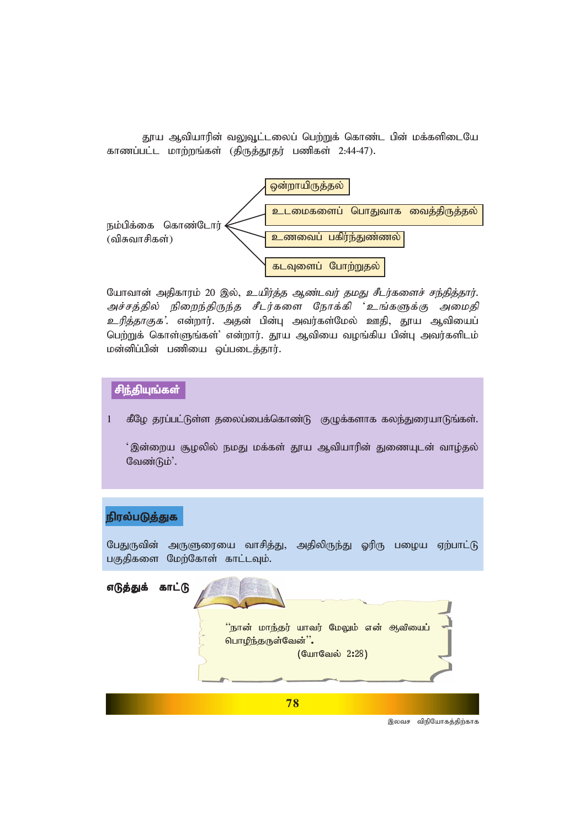தூய ஆவியாரின் வலுவூட்டலைப் பெற்றுக் கொண்ட பின் மக்களிடையே *fhzg;gl;l khw;wq;fs; (jpUj;J}ju; gzpfs; 2:44-47).*



யோவான் அதிகாரம் 20 இல், *உயிர்த்த ஆண்டவர் தமது சீடர்களைச் சந்தித்தார்.* அச்சத்தில் நிறைந்திருந்த சீடர்களை நோக்கி 'உங்களுக்கு அமைதி *உரித்தாகுக*'. என்றார். அதன் பின்பு அவர்கள்மேல் ஊதி, தூய ஆவியைப் பெற்றுக் கொள்ளுங்கள்' என்றார். தூய ஆவியை வழங்கிய பின்பு அவர்களிடம் *kd;dpg;gpd; gzpia xg;gilj;jhu;.*